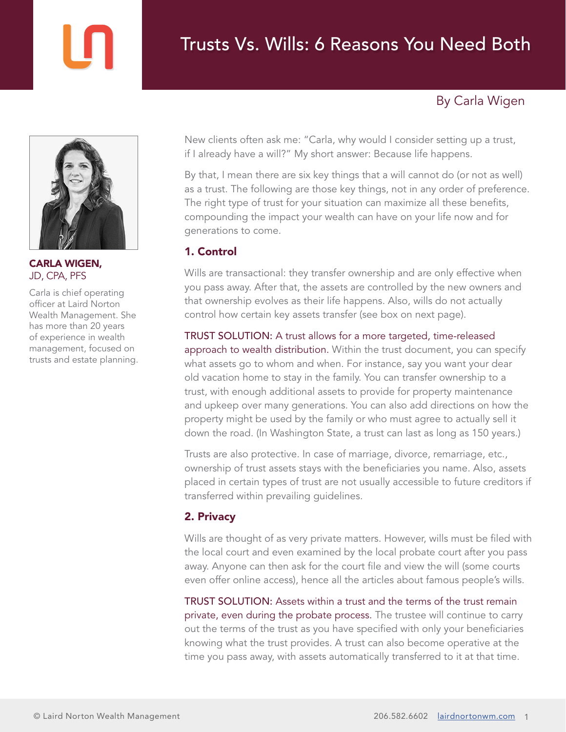# By Carla Wigen



CARLA WIGEN, JD, CPA, PFS

Carla is chief operating officer at Laird Norton Wealth Management. She has more than 20 years of experience in wealth management, focused on trusts and estate planning. New clients often ask me: "Carla, why would I consider setting up a trust, if I already have a will?" My short answer: Because life happens.

By that, I mean there are six key things that a will cannot do (or not as well) as a trust. The following are those key things, not in any order of preference. The right type of trust for your situation can maximize all these benefits, compounding the impact your wealth can have on your life now and for generations to come.

### 1. Control

Wills are transactional: they transfer ownership and are only effective when you pass away. After that, the assets are controlled by the new owners and that ownership evolves as their life happens. Also, wills do not actually control how certain key assets transfer (see box on next page).

#### TRUST SOLUTION: A trust allows for a more targeted, time-released

approach to wealth distribution. Within the trust document, you can specify what assets go to whom and when. For instance, say you want your dear old vacation home to stay in the family. You can transfer ownership to a trust, with enough additional assets to provide for property maintenance and upkeep over many generations. You can also add directions on how the property might be used by the family or who must agree to actually sell it down the road. (In Washington State, a trust can last as long as 150 years.)

Trusts are also protective. In case of marriage, divorce, remarriage, etc., ownership of trust assets stays with the beneficiaries you name. Also, assets placed in certain types of trust are not usually accessible to future creditors if transferred within prevailing guidelines.

## 2. Privacy

Wills are thought of as very private matters. However, wills must be filed with the local court and even examined by the local probate court after you pass away. Anyone can then ask for the court file and view the will (some courts even offer online access), hence all the articles about famous people's wills.

TRUST SOLUTION: Assets within a trust and the terms of the trust remain private, even during the probate process. The trustee will continue to carry out the terms of the trust as you have specified with only your beneficiaries knowing what the trust provides. A trust can also become operative at the time you pass away, with assets automatically transferred to it at that time.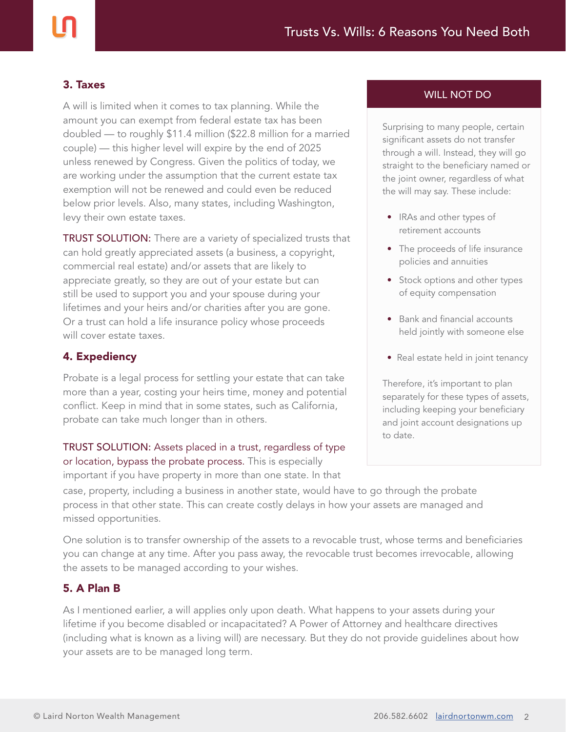#### 3. Taxes

A will is limited when it comes to tax planning. While the amount you can exempt from federal estate tax has been doubled — to roughly \$11.4 million (\$22.8 million for a married couple) — this higher level will expire by the end of 2025 unless renewed by Congress. Given the politics of today, we are working under the assumption that the current estate tax exemption will not be renewed and could even be reduced below prior levels. Also, many states, including Washington, levy their own estate taxes.

**TRUST SOLUTION:** There are a variety of specialized trusts that can hold greatly appreciated assets (a business, a copyright, commercial real estate) and/or assets that are likely to appreciate greatly, so they are out of your estate but can still be used to support you and your spouse during your lifetimes and your heirs and/or charities after you are gone. Or a trust can hold a life insurance policy whose proceeds will cover estate taxes.

#### 4. Expediency

Probate is a legal process for settling your estate that can take more than a year, costing your heirs time, money and potential conflict. Keep in mind that in some states, such as California, probate can take much longer than in others.

## TRUST SOLUTION: Assets placed in a trust, regardless of type or location, bypass the probate process. This is especially

important if you have property in more than one state. In that

case, property, including a business in another state, would have to go through the probate process in that other state. This can create costly delays in how your assets are managed and missed opportunities.

One solution is to transfer ownership of the assets to a revocable trust, whose terms and beneficiaries you can change at any time. After you pass away, the revocable trust becomes irrevocable, allowing the assets to be managed according to your wishes.

#### 5. A Plan B

As I mentioned earlier, a will applies only upon death. What happens to your assets during your lifetime if you become disabled or incapacitated? A Power of Attorney and healthcare directives (including what is known as a living will) are necessary. But they do not provide guidelines about how your assets are to be managed long term.

#### WILL NOT DO

Surprising to many people, certain significant assets do not transfer through a will. Instead, they will go straight to the beneficiary named or the joint owner, regardless of what the will may say. These include:

- IRAs and other types of retirement accounts
- The proceeds of life insurance policies and annuities
- Stock options and other types of equity compensation
- Bank and financial accounts held jointly with someone else
- Real estate held in joint tenancy

Therefore, it's important to plan separately for these types of assets, including keeping your beneficiary and joint account designations up to date.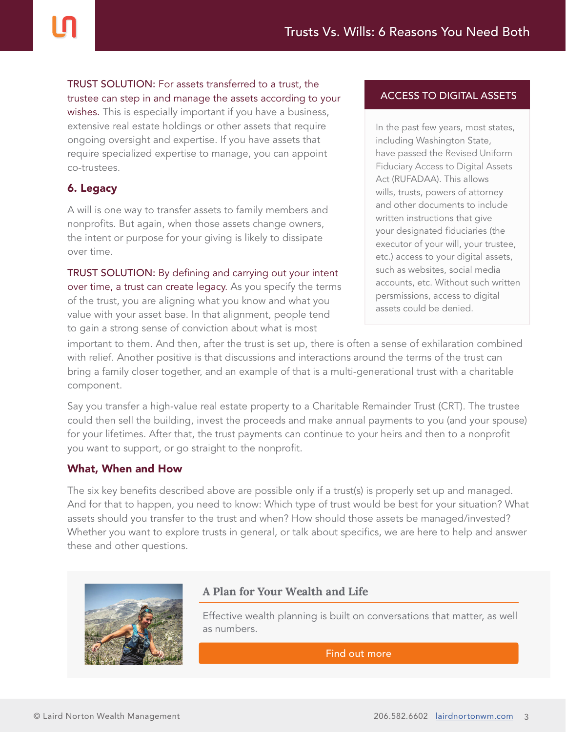TRUST SOLUTION: For assets transferred to a trust, the trustee can step in and manage the assets according to your wishes. This is especially important if you have a business,

extensive real estate holdings or other assets that require ongoing oversight and expertise. If you have assets that require specialized expertise to manage, you can appoint co-trustees.

## 6. Legacy

A will is one way to transfer assets to family members and nonprofits. But again, when those assets change owners, the intent or purpose for your giving is likely to dissipate over time.

TRUST SOLUTION: By defining and carrying out your intent over time, a trust can create legacy. As you specify the terms of the trust, you are aligning what you know and what you value with your asset base. In that alignment, people tend to gain a strong sense of conviction about what is most

### ACCESS TO DIGITAL ASSETS

In the past few years, most states, including Washington State, have passed the Revised Uniform Fiduciary Access to Digital Assets Act (RUFADAA). This allows wills, trusts, powers of attorney and other documents to include written instructions that give your designated fiduciaries (the executor of your will, your trustee, etc.) access to your digital assets, such as websites, social media accounts, etc. Without such written persmissions, access to digital assets could be denied.

important to them. And then, after the trust is set up, there is often a sense of exhilaration combined with relief. Another positive is that discussions and interactions around the terms of the trust can bring a family closer together, and an example of that is a multi-generational trust with a charitable component.

Say you transfer a high-value real estate property to a Charitable Remainder Trust (CRT). The trustee could then sell the building, invest the proceeds and make annual payments to you (and your spouse) for your lifetimes. After that, the trust payments can continue to your heirs and then to a nonprofit you want to support, or go straight to the nonprofit.

#### What, When and How

The six key benefits described above are possible only if a trust(s) is properly set up and managed. And for that to happen, you need to know: Which type of trust would be best for your situation? What assets should you transfer to the trust and when? How should those assets be managed/invested? Whether you want to explore trusts in general, or talk about specifics, we are here to help and answer these and other questions.



## **A Plan for Your Wealth and Life**

Effective wealth planning is built on conversations that matter, as well as numbers.

[Find out more](https://lairdnortonwm.com/wp-content/uploads/A-Plan-for-Your-Wealth-and-Life-QA-with-Carla-Wigen.pdf?utm_source=pdf-download&utm_medium=direct&utm_campaign=a-trust-for-your-next-generation)